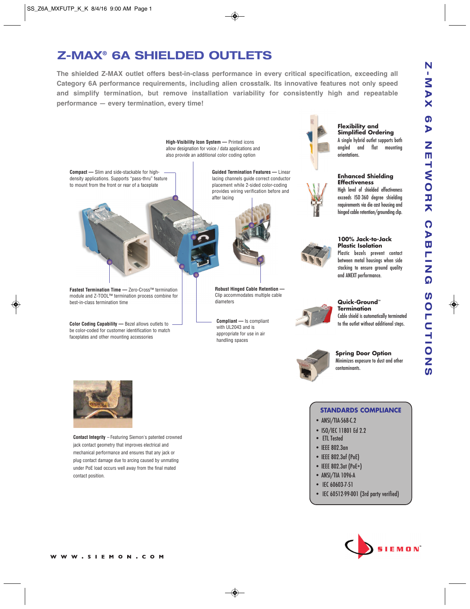## **Z-MAX® 6A SHIELDED OUTLETS**

**The shielded Z-MAX outlet offers best-in-class performance in every critical specification, exceeding all Category 6A performance requirements, including alien crosstalk. Its innovative features not only speed and simplify termination, but remove installation variability for consistently high and repeatable performance — every termination, every time!**





**Contact Integrity** – Featuring Siemon's patented crowned jack contact geometry that improves electrical and mechanical performance and ensures that any jack or plug contact damage due to arcing caused by unmating under PoE load occurs well away from the final mated contact position.

**STANDARDS COMPLIANCE**

**Flexibility and**

- ANSI/TIA-568-C.2
- ISO/IEC 11801 Ed 2.2
- ETL Tested
- IEEE 802.3an
- IEEE 802.3af (PoE)
- IEEE 802.3at (PoE+)
- ANSI/TIA 1096-A
- IEC 60603-7-51
- IEC 60512-99-001 (3rd party verified)